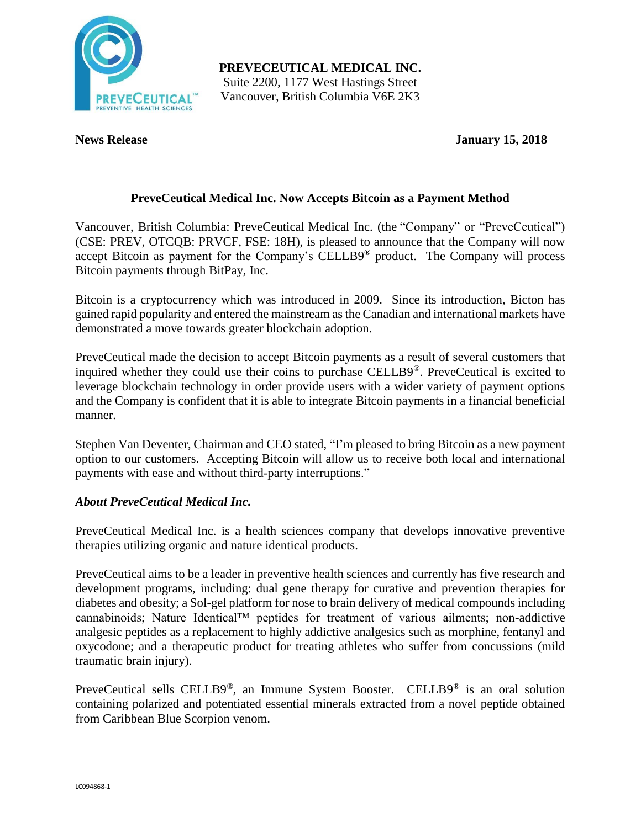

**PREVECEUTICAL MEDICAL INC.** Suite 2200, 1177 West Hastings Street Vancouver, British Columbia V6E 2K3

**News Release January 15, 2018**

# **PreveCeutical Medical Inc. Now Accepts Bitcoin as a Payment Method**

Vancouver, British Columbia: PreveCeutical Medical Inc. (the "Company" or "PreveCeutical") (CSE: PREV, OTCQB: PRVCF, FSE: 18H), is pleased to announce that the Company will now accept Bitcoin as payment for the Company's CELLB9® product. The Company will process Bitcoin payments through BitPay, Inc.

Bitcoin is a cryptocurrency which was introduced in 2009. Since its introduction, Bicton has gained rapid popularity and entered the mainstream as the Canadian and international markets have demonstrated a move towards greater blockchain adoption.

PreveCeutical made the decision to accept Bitcoin payments as a result of several customers that inquired whether they could use their coins to purchase CELLB9®. PreveCeutical is excited to leverage blockchain technology in order provide users with a wider variety of payment options and the Company is confident that it is able to integrate Bitcoin payments in a financial beneficial manner.

Stephen Van Deventer, Chairman and CEO stated, "I'm pleased to bring Bitcoin as a new payment option to our customers. Accepting Bitcoin will allow us to receive both local and international payments with ease and without third-party interruptions."

# *About PreveCeutical Medical Inc.*

PreveCeutical Medical Inc. is a health sciences company that develops innovative preventive therapies utilizing organic and nature identical products.

PreveCeutical aims to be a leader in preventive health sciences and currently has five research and development programs, including: dual gene therapy for curative and prevention therapies for diabetes and obesity; a Sol-gel platform for nose to brain delivery of medical compounds including cannabinoids; Nature Identical™ peptides for treatment of various ailments; non-addictive analgesic peptides as a replacement to highly addictive analgesics such as morphine, fentanyl and oxycodone; and a therapeutic product for treating athletes who suffer from concussions (mild traumatic brain injury).

PreveCeutical sells CELLB9®, an Immune System Booster. CELLB9® is an oral solution containing polarized and potentiated essential minerals extracted from a novel peptide obtained from Caribbean Blue Scorpion venom.